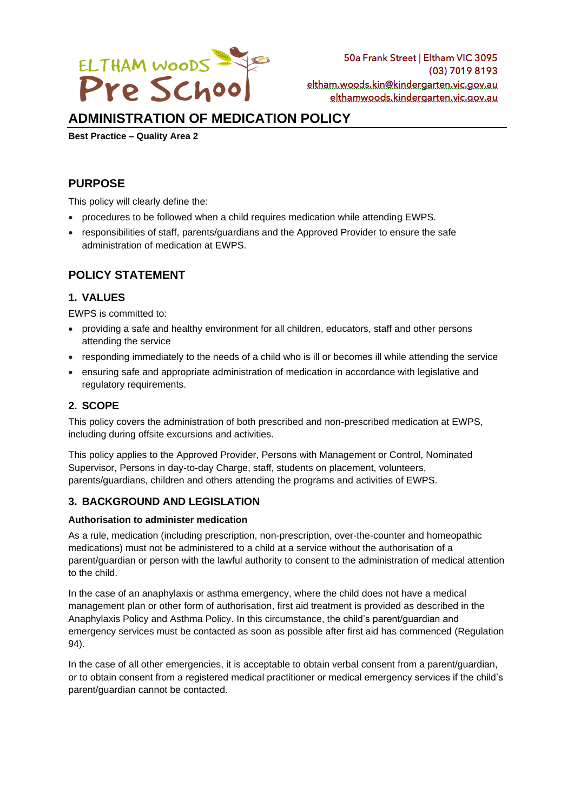

# **ADMINISTRATION OF MEDICATION POLICY**

**Best Practice – Quality Area 2**

# **PURPOSE**

This policy will clearly define the:

- procedures to be followed when a child requires medication while attending EWPS.
- responsibilities of staff, parents/guardians and the Approved Provider to ensure the safe administration of medication at EWPS.

# **POLICY STATEMENT**

## **1. VALUES**

EWPS is committed to:

- providing a safe and healthy environment for all children, educators, staff and other persons attending the service
- responding immediately to the needs of a child who is ill or becomes ill while attending the service
- ensuring safe and appropriate administration of medication in accordance with legislative and regulatory requirements.

# **2. SCOPE**

This policy covers the administration of both prescribed and non-prescribed medication at EWPS, including during offsite excursions and activities.

This policy applies to the Approved Provider, Persons with Management or Control, Nominated Supervisor, Persons in day-to-day Charge, staff, students on placement, volunteers, parents/guardians, children and others attending the programs and activities of EWPS.

## **3. BACKGROUND AND LEGISLATION**

### **Authorisation to administer medication**

As a rule, medication (including prescription, non-prescription, over-the-counter and homeopathic medications) must not be administered to a child at a service without the authorisation of a parent/guardian or person with the lawful authority to consent to the administration of medical attention to the child.

In the case of an anaphylaxis or asthma emergency, where the child does not have a medical management plan or other form of authorisation, first aid treatment is provided as described in the Anaphylaxis Policy and Asthma Policy. In this circumstance, the child's parent/guardian and emergency services must be contacted as soon as possible after first aid has commenced (Regulation 94).

In the case of all other emergencies, it is acceptable to obtain verbal consent from a parent/guardian, or to obtain consent from a registered medical practitioner or medical emergency services if the child's parent/guardian cannot be contacted.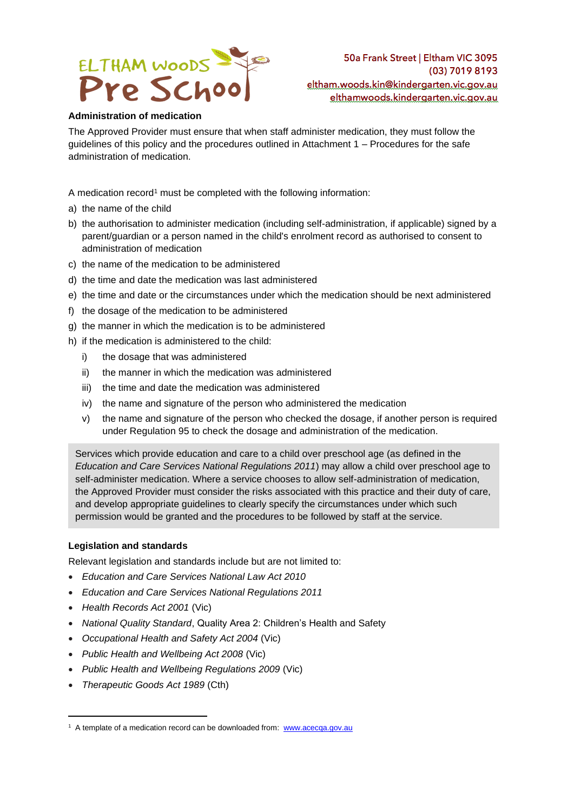

## **Administration of medication**

The Approved Provider must ensure that when staff administer medication, they must follow the guidelines of this policy and the procedures outlined in Attachment 1 – Procedures for the safe administration of medication.

A medication record<sup>1</sup> must be completed with the following information:

- a) the name of the child
- b) the authorisation to administer medication (including self-administration, if applicable) signed by a parent/guardian or a person named in the child's enrolment record as authorised to consent to administration of medication
- c) the name of the medication to be administered
- d) the time and date the medication was last administered
- e) the time and date or the circumstances under which the medication should be next administered
- f) the dosage of the medication to be administered
- g) the manner in which the medication is to be administered
- h) if the medication is administered to the child:
	- i) the dosage that was administered
	- ii) the manner in which the medication was administered
	- iii) the time and date the medication was administered
	- iv) the name and signature of the person who administered the medication
	- v) the name and signature of the person who checked the dosage, if another person is required under Regulation 95 to check the dosage and administration of the medication.

Services which provide education and care to a child over preschool age (as defined in the *Education and Care Services National Regulations 2011*) may allow a child over preschool age to self-administer medication. Where a service chooses to allow self-administration of medication, the Approved Provider must consider the risks associated with this practice and their duty of care, and develop appropriate guidelines to clearly specify the circumstances under which such permission would be granted and the procedures to be followed by staff at the service.

## **Legislation and standards**

Relevant legislation and standards include but are not limited to:

- *Education and Care Services National Law Act 2010*
- *Education and Care Services National Regulations 2011*
- *Health Records Act 2001* (Vic)
- *National Quality Standard*, Quality Area 2: Children's Health and Safety
- *Occupational Health and Safety Act 2004* (Vic)
- *Public Health and Wellbeing Act 2008* (Vic)
- *Public Health and Wellbeing Regulations 2009* (Vic)
- *Therapeutic Goods Act 1989* (Cth)

<sup>&</sup>lt;sup>1</sup> A template of a medication record can be downloaded from: [www.acecqa.gov.au](http://www.acecqa.gov.au/)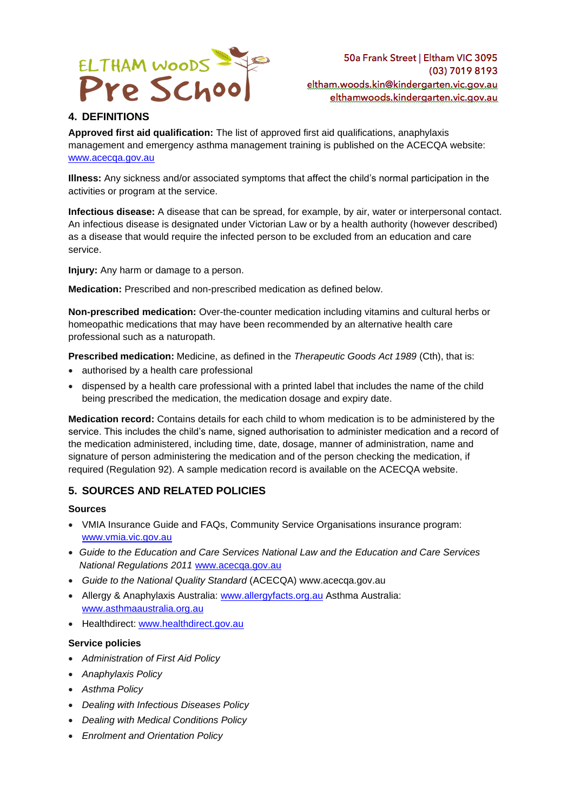

# **4. DEFINITIONS**

**Approved first aid qualification:** The list of approved first aid qualifications, anaphylaxis management and emergency asthma management training is published on the ACECQA website: [www.acecqa.gov.au](http://www.acecqa.gov.au/)

**Illness:** Any sickness and/or associated symptoms that affect the child's normal participation in the activities or program at the service.

**Infectious disease:** A disease that can be spread, for example, by air, water or interpersonal contact. An infectious disease is designated under Victorian Law or by a health authority (however described) as a disease that would require the infected person to be excluded from an education and care service.

**Injury:** Any harm or damage to a person.

**Medication:** Prescribed and non-prescribed medication as defined below.

**Non-prescribed medication:** Over-the-counter medication including vitamins and cultural herbs or homeopathic medications that may have been recommended by an alternative health care professional such as a naturopath.

**Prescribed medication:** Medicine, as defined in the *Therapeutic Goods Act 1989* (Cth), that is:

- authorised by a health care professional
- dispensed by a health care professional with a printed label that includes the name of the child being prescribed the medication, the medication dosage and expiry date.

**Medication record:** Contains details for each child to whom medication is to be administered by the service. This includes the child's name, signed authorisation to administer medication and a record of the medication administered, including time, date, dosage, manner of administration, name and signature of person administering the medication and of the person checking the medication, if required (Regulation 92). A sample medication record is available on the ACECQA website.

## **5. SOURCES AND RELATED POLICIES**

### **Sources**

- VMIA Insurance Guide and FAQs, Community Service Organisations insurance program: [www.vmia.vic.gov.au](http://www.vmia.vic.gov.au/)
- *Guide to the Education and Care Services National Law and the Education and Care Services National Regulations 2011* [www.acecqa.gov.au](http://www.acecqa.gov.au/)
- *Guide to the National Quality Standard* (ACECQA) www.acecqa.gov.au
- Allergy & Anaphylaxis Australia: [www.allergyfacts.org.au](http://www.allergyfacts.org.au/) Asthma Australia: [www.asthmaaustralia.org.au](http://www.asthmaaustralia.org.au/)
- Healthdirect: [www.healthdirect.gov.au](http://www.healthdirect.gov.au/)

### **Service policies**

- *Administration of First Aid Policy*
- *Anaphylaxis Policy*
- *Asthma Policy*
- *Dealing with Infectious Diseases Policy*
- *Dealing with Medical Conditions Policy*
- *Enrolment and Orientation Policy*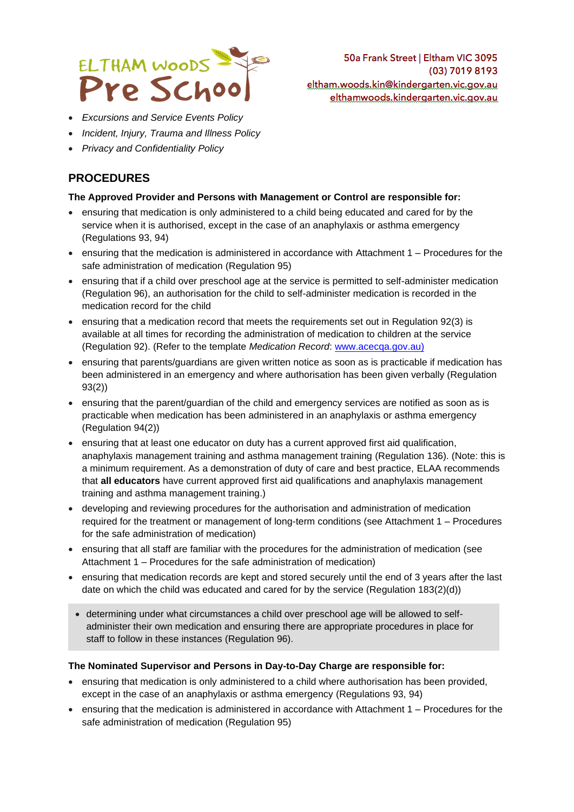

• *Excursions and Service Events Policy*

- *Incident, Injury, Trauma and Illness Policy*
- *Privacy and Confidentiality Policy*

# **PROCEDURES**

## **The Approved Provider and Persons with Management or Control are responsible for:**

- ensuring that medication is only administered to a child being educated and cared for by the service when it is authorised, except in the case of an anaphylaxis or asthma emergency (Regulations 93, 94)
- ensuring that the medication is administered in accordance with Attachment 1 Procedures for the safe administration of medication (Regulation 95)
- ensuring that if a child over preschool age at the service is permitted to self-administer medication (Regulation 96), an authorisation for the child to self-administer medication is recorded in the medication record for the child
- ensuring that a medication record that meets the requirements set out in Regulation 92(3) is available at all times for recording the administration of medication to children at the service (Regulation 92). (Refer to the template *Medication Record*: [www.acecqa.gov.au\)](http://www.acecqa.gov.au/)
- ensuring that parents/guardians are given written notice as soon as is practicable if medication has been administered in an emergency and where authorisation has been given verbally (Regulation 93(2))
- ensuring that the parent/guardian of the child and emergency services are notified as soon as is practicable when medication has been administered in an anaphylaxis or asthma emergency (Regulation 94(2))
- ensuring that at least one educator on duty has a current approved first aid qualification, anaphylaxis management training and asthma management training (Regulation 136). (Note: this is a minimum requirement. As a demonstration of duty of care and best practice, ELAA recommends that **all educators** have current approved first aid qualifications and anaphylaxis management training and asthma management training.)
- developing and reviewing procedures for the authorisation and administration of medication required for the treatment or management of long-term conditions (see Attachment 1 – Procedures for the safe administration of medication)
- ensuring that all staff are familiar with the procedures for the administration of medication (see Attachment 1 – Procedures for the safe administration of medication)
- ensuring that medication records are kept and stored securely until the end of 3 years after the last date on which the child was educated and cared for by the service (Regulation 183(2)(d))
- determining under what circumstances a child over preschool age will be allowed to selfadminister their own medication and ensuring there are appropriate procedures in place for staff to follow in these instances (Regulation 96).

## **The Nominated Supervisor and Persons in Day-to-Day Charge are responsible for:**

- ensuring that medication is only administered to a child where authorisation has been provided, except in the case of an anaphylaxis or asthma emergency (Regulations 93, 94)
- ensuring that the medication is administered in accordance with Attachment 1 Procedures for the safe administration of medication (Regulation 95)

50a Frank Street | Eltham VIC 3095 (03) 7019 8193 eltham.woods.kin@kindergarten.vic.gov.au elthamwoods.kindergarten.vic.gov.au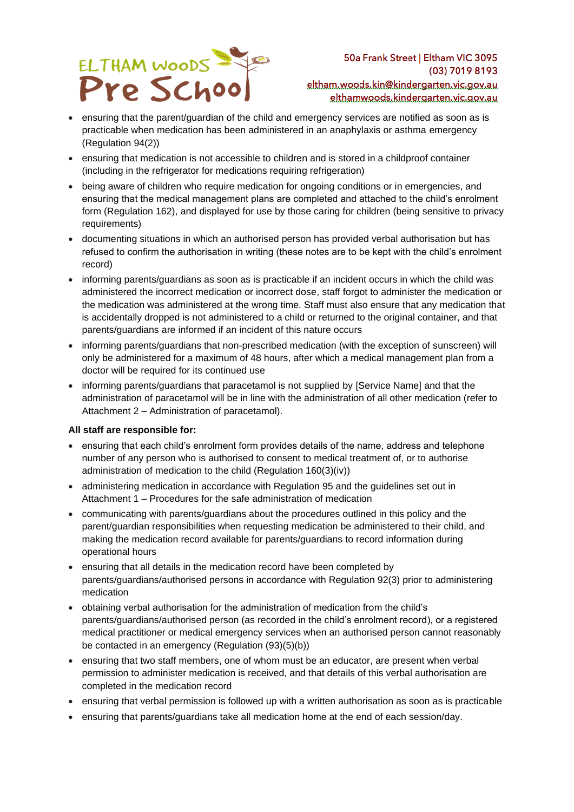

50a Frank Street | Eltham VIC 3095 (03) 7019 8193 eltham.woods.kin@kindergarten.vic.gov.au elthamwoods.kindergarten.vic.gov.au

- ensuring that the parent/guardian of the child and emergency services are notified as soon as is practicable when medication has been administered in an anaphylaxis or asthma emergency (Regulation 94(2))
- ensuring that medication is not accessible to children and is stored in a childproof container (including in the refrigerator for medications requiring refrigeration)
- being aware of children who require medication for ongoing conditions or in emergencies, and ensuring that the medical management plans are completed and attached to the child's enrolment form (Regulation 162), and displayed for use by those caring for children (being sensitive to privacy requirements)
- documenting situations in which an authorised person has provided verbal authorisation but has refused to confirm the authorisation in writing (these notes are to be kept with the child's enrolment record)
- informing parents/guardians as soon as is practicable if an incident occurs in which the child was administered the incorrect medication or incorrect dose, staff forgot to administer the medication or the medication was administered at the wrong time. Staff must also ensure that any medication that is accidentally dropped is not administered to a child or returned to the original container, and that parents/guardians are informed if an incident of this nature occurs
- informing parents/guardians that non-prescribed medication (with the exception of sunscreen) will only be administered for a maximum of 48 hours, after which a medical management plan from a doctor will be required for its continued use
- informing parents/guardians that paracetamol is not supplied by [Service Name] and that the administration of paracetamol will be in line with the administration of all other medication (refer to Attachment 2 – Administration of paracetamol).

### **All staff are responsible for:**

- ensuring that each child's enrolment form provides details of the name, address and telephone number of any person who is authorised to consent to medical treatment of, or to authorise administration of medication to the child (Regulation 160(3)(iv))
- administering medication in accordance with Regulation 95 and the guidelines set out in Attachment 1 – Procedures for the safe administration of medication
- communicating with parents/guardians about the procedures outlined in this policy and the parent/guardian responsibilities when requesting medication be administered to their child, and making the medication record available for parents/guardians to record information during operational hours
- ensuring that all details in the medication record have been completed by parents/guardians/authorised persons in accordance with Regulation 92(3) prior to administering medication
- obtaining verbal authorisation for the administration of medication from the child's parents/guardians/authorised person (as recorded in the child's enrolment record), or a registered medical practitioner or medical emergency services when an authorised person cannot reasonably be contacted in an emergency (Regulation (93)(5)(b))
- ensuring that two staff members, one of whom must be an educator, are present when verbal permission to administer medication is received, and that details of this verbal authorisation are completed in the medication record
- ensuring that verbal permission is followed up with a written authorisation as soon as is practicable
- ensuring that parents/guardians take all medication home at the end of each session/day.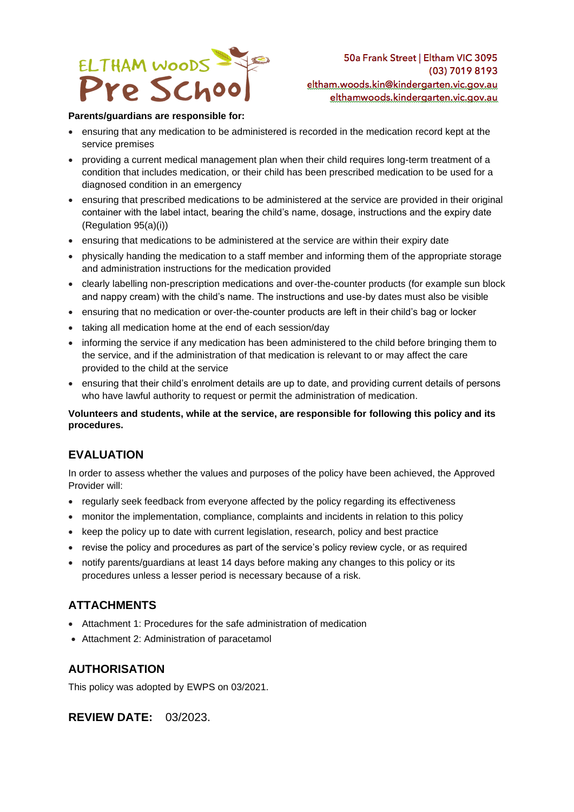

#### **Parents/guardians are responsible for:**

- ensuring that any medication to be administered is recorded in the medication record kept at the service premises
- providing a current medical management plan when their child requires long-term treatment of a condition that includes medication, or their child has been prescribed medication to be used for a diagnosed condition in an emergency
- ensuring that prescribed medications to be administered at the service are provided in their original container with the label intact, bearing the child's name, dosage, instructions and the expiry date (Regulation 95(a)(i))
- ensuring that medications to be administered at the service are within their expiry date
- physically handing the medication to a staff member and informing them of the appropriate storage and administration instructions for the medication provided
- clearly labelling non-prescription medications and over-the-counter products (for example sun block and nappy cream) with the child's name. The instructions and use-by dates must also be visible
- ensuring that no medication or over-the-counter products are left in their child's bag or locker
- taking all medication home at the end of each session/day
- informing the service if any medication has been administered to the child before bringing them to the service, and if the administration of that medication is relevant to or may affect the care provided to the child at the service
- ensuring that their child's enrolment details are up to date, and providing current details of persons who have lawful authority to request or permit the administration of medication.

### **Volunteers and students, while at the service, are responsible for following this policy and its procedures.**

## **EVALUATION**

In order to assess whether the values and purposes of the policy have been achieved, the Approved Provider will:

- regularly seek feedback from everyone affected by the policy regarding its effectiveness
- monitor the implementation, compliance, complaints and incidents in relation to this policy
- keep the policy up to date with current legislation, research, policy and best practice
- revise the policy and procedures as part of the service's policy review cycle, or as required
- notify parents/guardians at least 14 days before making any changes to this policy or its procedures unless a lesser period is necessary because of a risk.

# **ATTACHMENTS**

- Attachment 1: Procedures for the safe administration of medication
- Attachment 2: Administration of paracetamol

## **AUTHORISATION**

This policy was adopted by EWPS on 03/2021.

## **REVIEW DATE:** 03/2023.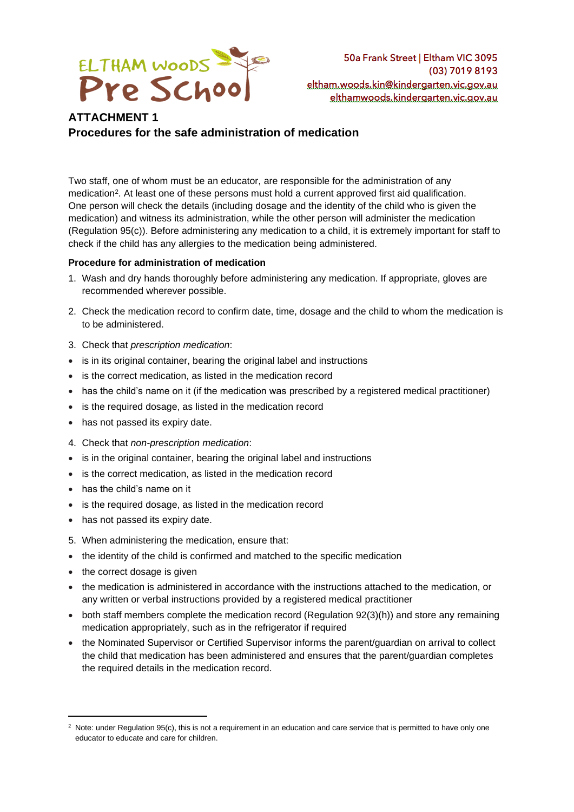

# **ATTACHMENT 1 Procedures for the safe administration of medication**

Two staff, one of whom must be an educator, are responsible for the administration of any medication<sup>2</sup>. At least one of these persons must hold a current approved first aid qualification. One person will check the details (including dosage and the identity of the child who is given the medication) and witness its administration, while the other person will administer the medication (Regulation 95(c)). Before administering any medication to a child, it is extremely important for staff to check if the child has any allergies to the medication being administered.

### **Procedure for administration of medication**

- 1. Wash and dry hands thoroughly before administering any medication. If appropriate, gloves are recommended wherever possible.
- 2. Check the medication record to confirm date, time, dosage and the child to whom the medication is to be administered.
- 3. Check that *prescription medication*:
- is in its original container, bearing the original label and instructions
- is the correct medication, as listed in the medication record
- has the child's name on it (if the medication was prescribed by a registered medical practitioner)
- is the required dosage, as listed in the medication record
- has not passed its expiry date.
- 4. Check that *non-prescription medication*:
- is in the original container, bearing the original label and instructions
- is the correct medication, as listed in the medication record
- has the child's name on it
- is the required dosage, as listed in the medication record
- has not passed its expiry date.
- 5. When administering the medication, ensure that:
- the identity of the child is confirmed and matched to the specific medication
- the correct dosage is given
- the medication is administered in accordance with the instructions attached to the medication, or any written or verbal instructions provided by a registered medical practitioner
- both staff members complete the medication record (Regulation 92(3)(h)) and store any remaining medication appropriately, such as in the refrigerator if required
- the Nominated Supervisor or Certified Supervisor informs the parent/guardian on arrival to collect the child that medication has been administered and ensures that the parent/guardian completes the required details in the medication record.

 $2$  Note: under Regulation 95(c), this is not a requirement in an education and care service that is permitted to have only one educator to educate and care for children.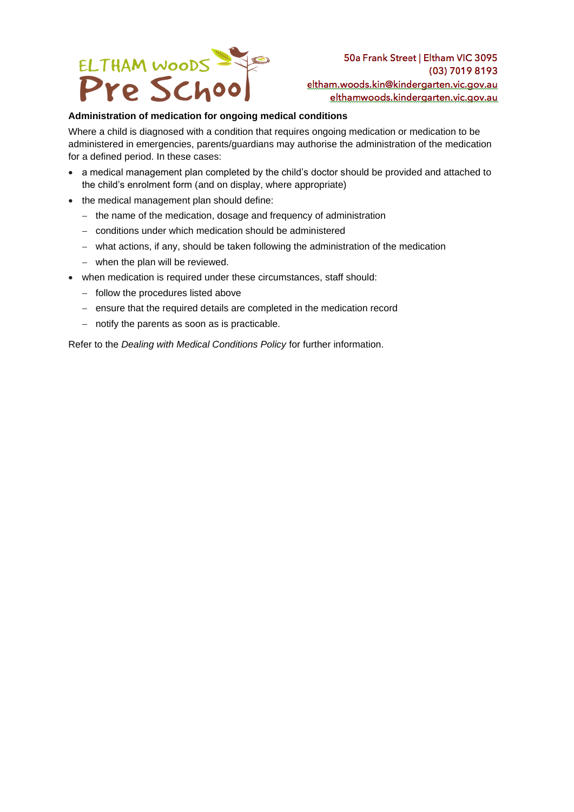

## **Administration of medication for ongoing medical conditions**

Where a child is diagnosed with a condition that requires ongoing medication or medication to be administered in emergencies, parents/guardians may authorise the administration of the medication for a defined period. In these cases:

- a medical management plan completed by the child's doctor should be provided and attached to the child's enrolment form (and on display, where appropriate)
- the medical management plan should define:
	- − the name of the medication, dosage and frequency of administration
	- − conditions under which medication should be administered
	- − what actions, if any, should be taken following the administration of the medication
	- − when the plan will be reviewed.
- when medication is required under these circumstances, staff should:
	- − follow the procedures listed above
	- − ensure that the required details are completed in the medication record
	- − notify the parents as soon as is practicable.

Refer to the *Dealing with Medical Conditions Policy* for further information.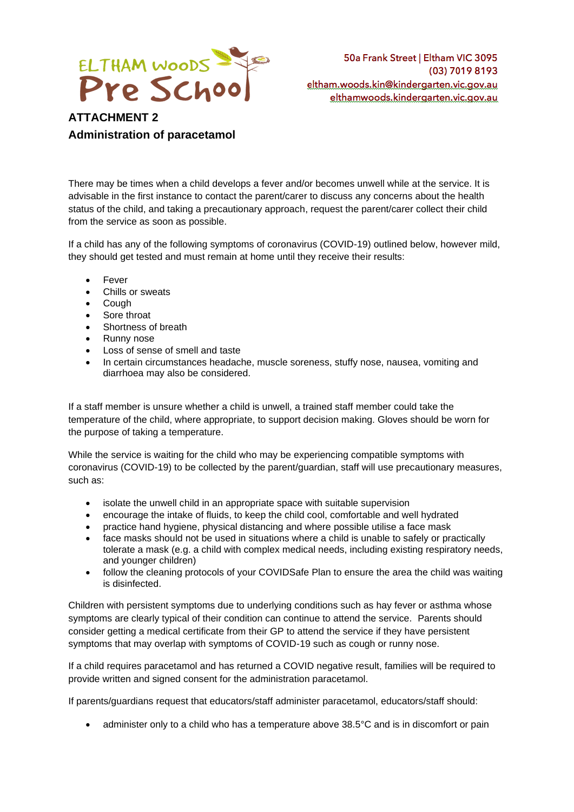

# **ATTACHMENT 2 Administration of paracetamol**

There may be times when a child develops a fever and/or becomes unwell while at the service. It is advisable in the first instance to contact the parent/carer to discuss any concerns about the health status of the child, and taking a precautionary approach, request the parent/carer collect their child from the service as soon as possible.

If a child has any of the following symptoms of coronavirus (COVID-19) outlined below, however mild, they should get tested and must remain at home until they receive their results:

- **Fever**
- Chills or sweats
- Cough
- Sore throat
- Shortness of breath
- Runny nose
- Loss of sense of smell and taste
- In certain circumstances headache, muscle soreness, stuffy nose, nausea, vomiting and diarrhoea may also be considered.

If a staff member is unsure whether a child is unwell, a trained staff member could take the temperature of the child, where appropriate, to support decision making. Gloves should be worn for the purpose of taking a temperature.

While the service is waiting for the child who may be experiencing compatible symptoms with coronavirus (COVID-19) to be collected by the parent/guardian, staff will use precautionary measures, such as:

- isolate the unwell child in an appropriate space with suitable supervision
- encourage the intake of fluids, to keep the child cool, comfortable and well hydrated
- practice hand hygiene, physical distancing and where possible utilise a face mask
- face masks should not be used in situations where a child is unable to safely or practically tolerate a mask (e.g. a child with complex medical needs, including existing respiratory needs, and younger children)
- follow the cleaning protocols of your COVIDSafe Plan to ensure the area the child was waiting is disinfected.

Children with persistent symptoms due to underlying conditions such as hay fever or asthma whose symptoms are clearly typical of their condition can continue to attend the service. Parents should consider getting a medical certificate from their GP to attend the service if they have persistent symptoms that may overlap with symptoms of COVID-19 such as cough or runny nose.

If a child requires paracetamol and has returned a COVID negative result, families will be required to provide written and signed consent for the administration paracetamol.

If parents/guardians request that educators/staff administer paracetamol, educators/staff should:

• administer only to a child who has a temperature above 38.5°C and is in discomfort or pain